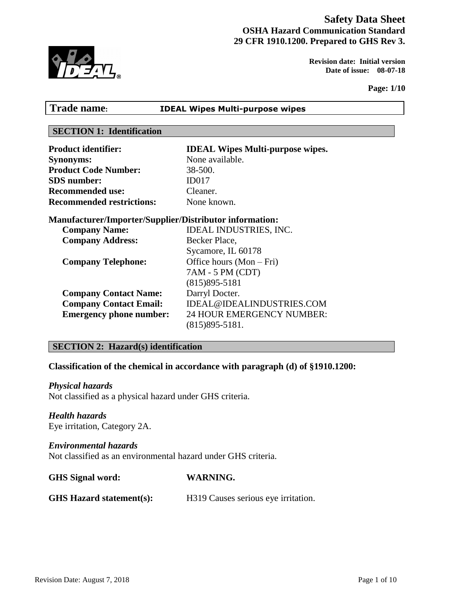# **Safety Data Sheet OSHA Hazard Communication Standard 29 CFR 1910.1200. Prepared to GHS Rev 3.**

 **Revision date: Initial version Date of issue: 08-07-18** 

**Page: 1/10**

|  | রি |
|--|----|

# **SECTION 1: Identification Product identifier: IDEAL Wipes Multi-purpose wipes. Synonyms:** None available. Product Code Number: 38-500. **SDS number:** ID017 **Recommended use:** Cleaner. **Recommended restrictions:** None known.

**Trade name: IDEAL Wipes Multi-purpose wipes**

# **Manufacturer/Importer/Supplier/Distributor information:**

| <b>Company Name:</b>           | <b>IDEAL INDUSTRIES, INC.</b> |
|--------------------------------|-------------------------------|
| <b>Company Address:</b>        | Becker Place,                 |
|                                | Sycamore, IL 60178            |
| <b>Company Telephone:</b>      | Office hours $(Mon-Fri)$      |
|                                | 7AM - 5 PM (CDT)              |
|                                | $(815)895 - 5181$             |
| <b>Company Contact Name:</b>   | Darryl Docter.                |
| <b>Company Contact Email:</b>  | IDEAL@IDEALINDUSTRIES.COM     |
| <b>Emergency phone number:</b> | 24 HOUR EMERGENCY NUMBER:     |
|                                | $(815)895 - 5181.$            |

# **SECTION 2: Hazard(s) identification**

# **Classification of the chemical in accordance with paragraph (d) of §1910.1200:**

# *Physical hazards*

Not classified as a physical hazard under GHS criteria.

# *Health hazards*

Eye irritation, Category 2A.

# *Environmental hazards*

Not classified as an environmental hazard under GHS criteria.

| <b>GHS</b> Signal word: | <b>WARNING.</b> |
|-------------------------|-----------------|
|-------------------------|-----------------|

# GHS Hazard statement(s): H319 Causes serious eye irritation.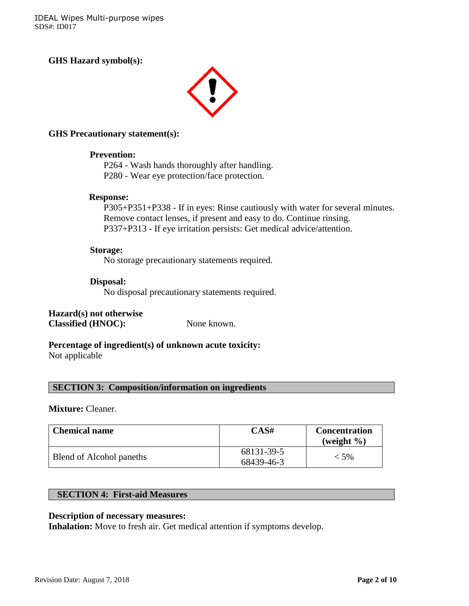IDEAL Wipes Multi-purpose wipes SDS#: ID017

**GHS Hazard symbol(s):**



#### **GHS Precautionary statement(s):**

#### **Prevention:**

P264 - Wash hands thoroughly after handling. P280 - Wear eye protection/face protection.

#### **Response:**

P305+P351+P338 - If in eyes: Rinse cautiously with water for several minutes. Remove contact lenses, if present and easy to do. Continue rinsing. P337+P313 - If eye irritation persists: Get medical advice/attention.

#### **Storage:**

No storage precautionary statements required.

#### **Disposal:**

No disposal precautionary statements required.

**Hazard(s) not otherwise Classified (HNOC):** None known.

# **Percentage of ingredient(s) of unknown acute toxicity:**

Not applicable

**SECTION 3: Composition/information on ingredients**

#### **Mixture:** Cleaner.

| <b>Chemical name</b>     | CAS#                     | <b>Concentration</b><br>(weight $\%$ ) |
|--------------------------|--------------------------|----------------------------------------|
| Blend of Alcohol paneths | 68131-39-5<br>68439-46-3 | $< 5\%$                                |

# **SECTION 4: First-aid Measures**

#### **Description of necessary measures:**

**Inhalation:** Move to fresh air. Get medical attention if symptoms develop.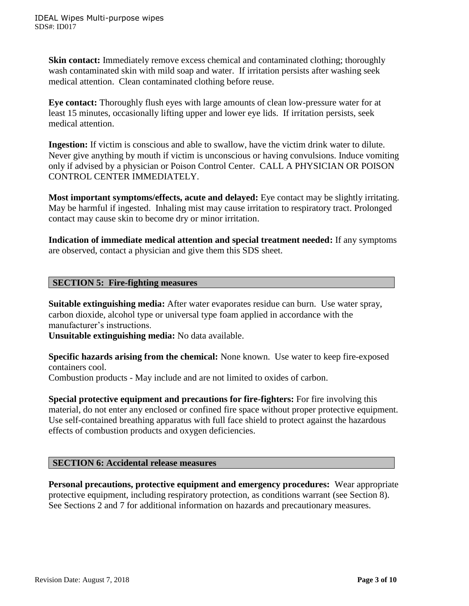**Skin contact:** Immediately remove excess chemical and contaminated clothing; thoroughly wash contaminated skin with mild soap and water. If irritation persists after washing seek medical attention. Clean contaminated clothing before reuse.

**Eye contact:** Thoroughly flush eyes with large amounts of clean low-pressure water for at least 15 minutes, occasionally lifting upper and lower eye lids. If irritation persists, seek medical attention.

**Ingestion:** If victim is conscious and able to swallow, have the victim drink water to dilute. Never give anything by mouth if victim is unconscious or having convulsions. Induce vomiting only if advised by a physician or Poison Control Center. CALL A PHYSICIAN OR POISON CONTROL CENTER IMMEDIATELY.

**Most important symptoms/effects, acute and delayed:** Eye contact may be slightly irritating. May be harmful if ingested. Inhaling mist may cause irritation to respiratory tract. Prolonged contact may cause skin to become dry or minor irritation.

**Indication of immediate medical attention and special treatment needed:** If any symptoms are observed, contact a physician and give them this SDS sheet.

### **SECTION 5: Fire-fighting measures**

**Suitable extinguishing media:** After water evaporates residue can burn. Use water spray, carbon dioxide, alcohol type or universal type foam applied in accordance with the manufacturer's instructions.

**Unsuitable extinguishing media:** No data available.

**Specific hazards arising from the chemical:** None known. Use water to keep fire-exposed containers cool.

Combustion products - May include and are not limited to oxides of carbon.

**Special protective equipment and precautions for fire-fighters:** For fire involving this material, do not enter any enclosed or confined fire space without proper protective equipment. Use self-contained breathing apparatus with full face shield to protect against the hazardous effects of combustion products and oxygen deficiencies.

# **SECTION 6: Accidental release measures**

**Personal precautions, protective equipment and emergency procedures:** Wear appropriate protective equipment, including respiratory protection, as conditions warrant (see Section 8). See Sections 2 and 7 for additional information on hazards and precautionary measures.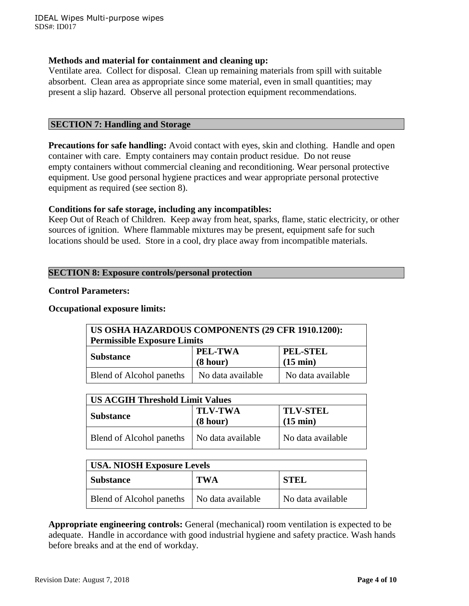### **Methods and material for containment and cleaning up:**

Ventilate area. Collect for disposal. Clean up remaining materials from spill with suitable absorbent. Clean area as appropriate since some material, even in small quantities; may present a slip hazard. Observe all personal protection equipment recommendations.

#### **SECTION 7: Handling and Storage**

**Precautions for safe handling:** Avoid contact with eyes, skin and clothing. Handle and open container with care. Empty containers may contain product residue. Do not reuse empty containers without commercial cleaning and reconditioning. Wear personal protective equipment. Use good personal hygiene practices and wear appropriate personal protective equipment as required (see section 8).

### **Conditions for safe storage, including any incompatibles:**

Keep Out of Reach of Children. Keep away from heat, sparks, flame, static electricity, or other sources of ignition. Where flammable mixtures may be present, equipment safe for such locations should be used. Store in a cool, dry place away from incompatible materials.

### **SECTION 8: Exposure controls/personal protection**

#### **Control Parameters:**

#### **Occupational exposure limits:**

| US OSHA HAZARDOUS COMPONENTS (29 CFR 1910.1200):<br><b>Permissible Exposure Limits</b> |                     |                                       |  |
|----------------------------------------------------------------------------------------|---------------------|---------------------------------------|--|
| <b>Substance</b>                                                                       | PEL-TWA<br>(8 hour) | <b>PEL-STEL</b><br>$(15 \text{ min})$ |  |
| Blend of Alcohol paneths                                                               | No data available   | No data available                     |  |

| <b>US ACGIH Threshold Limit Values</b> |                            |                                       |  |
|----------------------------------------|----------------------------|---------------------------------------|--|
| <b>Substance</b>                       | <b>TLV-TWA</b><br>(8 hour) | <b>TLV-STEL</b><br>$(15 \text{ min})$ |  |
| Blend of Alcohol paneths               | No data available          | No data available                     |  |

| <b>USA. NIOSH Exposure Levels</b> |                   |                   |
|-----------------------------------|-------------------|-------------------|
| <b>Substance</b>                  | <b>TWA</b>        | <b>STEL</b>       |
| Blend of Alcohol paneths          | No data available | No data available |

**Appropriate engineering controls:** General (mechanical) room ventilation is expected to be adequate. Handle in accordance with good industrial hygiene and safety practice. Wash hands before breaks and at the end of workday.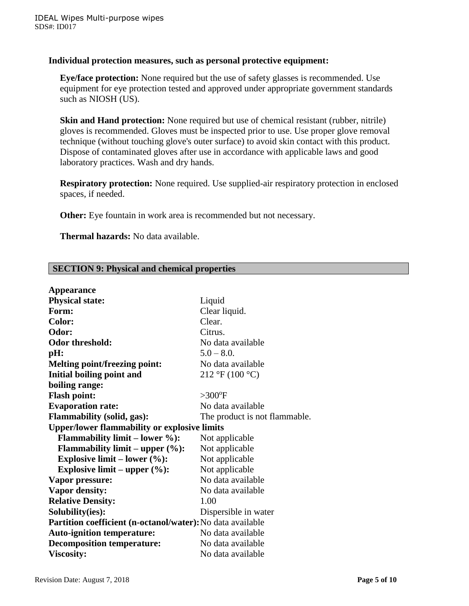### **Individual protection measures, such as personal protective equipment:**

**Eye/face protection:** None required but the use of safety glasses is recommended. Use equipment for eye protection tested and approved under appropriate government standards such as NIOSH (US).

**Skin and Hand protection:** None required but use of chemical resistant (rubber, nitrile) gloves is recommended. Gloves must be inspected prior to use. Use proper glove removal technique (without touching glove's outer surface) to avoid skin contact with this product. Dispose of contaminated gloves after use in accordance with applicable laws and good laboratory practices. Wash and dry hands.

**Respiratory protection:** None required. Use supplied-air respiratory protection in enclosed spaces, if needed.

**Other:** Eye fountain in work area is recommended but not necessary.

 **Thermal hazards:** No data available.

# **SECTION 9: Physical and chemical properties**

| <b>Appearance</b>                                          |                                                |  |
|------------------------------------------------------------|------------------------------------------------|--|
| <b>Physical state:</b>                                     | Liquid                                         |  |
| Form:                                                      | Clear liquid.                                  |  |
| Color:                                                     | Clear.                                         |  |
| Odor:                                                      | Citrus.                                        |  |
| <b>Odor threshold:</b>                                     | No data available                              |  |
| pH:                                                        | $5.0 - 8.0$                                    |  |
| <b>Melting point/freezing point:</b>                       | No data available                              |  |
| Initial boiling point and                                  | $212 \text{ }^{\circ}F(100 \text{ }^{\circ}C)$ |  |
| boiling range:                                             |                                                |  |
| <b>Flash point:</b>                                        | $>300^{\circ}$ F                               |  |
| <b>Evaporation rate:</b>                                   | No data available                              |  |
| <b>Flammability (solid, gas):</b>                          | The product is not flammable.                  |  |
| <b>Upper/lower flammability or explosive limits</b>        |                                                |  |
| <b>Flammability limit – lower %):</b><br>Not applicable    |                                                |  |
| <b>Flammability limit – upper <math>(\%):</math></b>       | Not applicable                                 |  |
| Explosive limit – lower $(\%):$                            | Not applicable                                 |  |
| Explosive limit – upper $(\%):$                            | Not applicable                                 |  |
| Vapor pressure:                                            | No data available                              |  |
| <b>Vapor density:</b>                                      | No data available                              |  |
| <b>Relative Density:</b>                                   | 1.00                                           |  |
| Solubility(ies):                                           | Dispersible in water                           |  |
| Partition coefficient (n-octanol/water): No data available |                                                |  |
| <b>Auto-ignition temperature:</b>                          | No data available                              |  |
| <b>Decomposition temperature:</b>                          | No data available                              |  |
| <b>Viscosity:</b>                                          | No data available                              |  |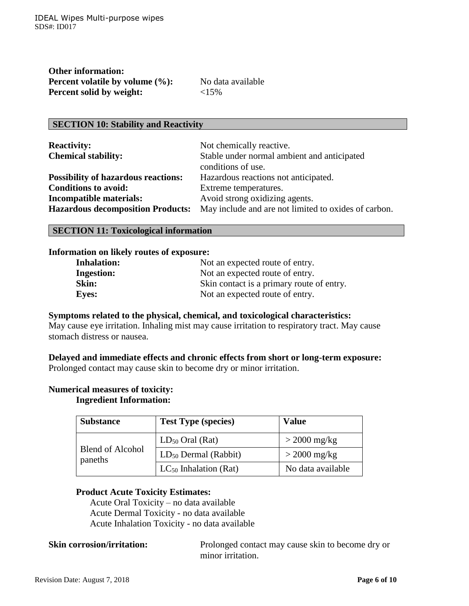| <b>Other information:</b>       |  |
|---------------------------------|--|
| Percent volatile by volume (%): |  |
| <b>Percent solid by weight:</b> |  |

No data available **Percent solid by weight:** <15%

# **SECTION 10: Stability and Reactivity**

| <b>Reactivity:</b>                         | Not chemically reactive.                             |
|--------------------------------------------|------------------------------------------------------|
| <b>Chemical stability:</b>                 | Stable under normal ambient and anticipated          |
|                                            | conditions of use.                                   |
| <b>Possibility of hazardous reactions:</b> | Hazardous reactions not anticipated.                 |
| <b>Conditions to avoid:</b>                | Extreme temperatures.                                |
| <b>Incompatible materials:</b>             | Avoid strong oxidizing agents.                       |
| <b>Hazardous decomposition Products:</b>   | May include and are not limited to oxides of carbon. |

#### **SECTION 11: Toxicological information**

#### **Information on likely routes of exposure:**

| <b>Inhalation:</b> | Not an expected route of entry.<br>Not an expected route of entry.<br>Skin contact is a primary route of entry. |  |
|--------------------|-----------------------------------------------------------------------------------------------------------------|--|
| <b>Ingestion:</b>  |                                                                                                                 |  |
| Skin:              |                                                                                                                 |  |
| <b>Eyes:</b>       | Not an expected route of entry.                                                                                 |  |

#### **Symptoms related to the physical, chemical, and toxicological characteristics:**

May cause eye irritation. Inhaling mist may cause irritation to respiratory tract. May cause stomach distress or nausea.

### **Delayed and immediate effects and chronic effects from short or long-term exposure:** Prolonged contact may cause skin to become dry or minor irritation.

# **Numerical measures of toxicity:**

# **Ingredient Information:**

| <b>Substance</b>                   | <b>Test Type (species)</b> | Value             |
|------------------------------------|----------------------------|-------------------|
| <b>Blend of Alcohol</b><br>paneths | $LD_{50}$ Oral (Rat)       | $>$ 2000 mg/kg    |
|                                    | $LD_{50}$ Dermal (Rabbit)  | $>$ 2000 mg/kg    |
|                                    | $LC_{50}$ Inhalation (Rat) | No data available |

# **Product Acute Toxicity Estimates:**

Acute Oral Toxicity – no data available Acute Dermal Toxicity - no data available Acute Inhalation Toxicity - no data available

**Skin corrosion/irritation:** Prolonged contact may cause skin to become dry or minor irritation.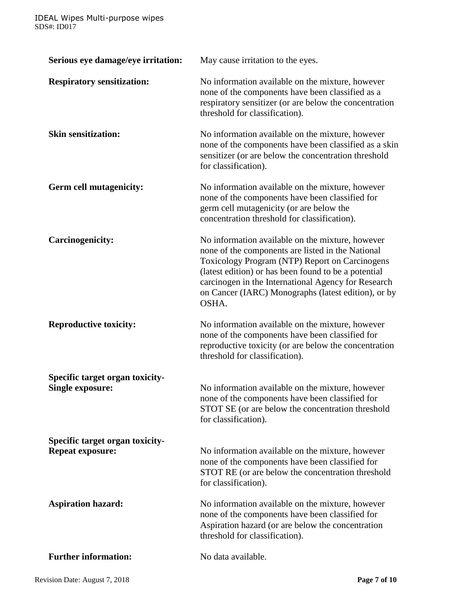| Serious eye damage/eye irritation:                         | May cause irritation to the eyes.                                                                                                                                                                                                                                                                                                      |  |
|------------------------------------------------------------|----------------------------------------------------------------------------------------------------------------------------------------------------------------------------------------------------------------------------------------------------------------------------------------------------------------------------------------|--|
| <b>Respiratory sensitization:</b>                          | No information available on the mixture, however<br>none of the components have been classified as a<br>respiratory sensitizer (or are below the concentration<br>threshold for classification).                                                                                                                                       |  |
| <b>Skin sensitization:</b>                                 | No information available on the mixture, however<br>none of the components have been classified as a skin<br>sensitizer (or are below the concentration threshold<br>for classification).                                                                                                                                              |  |
| <b>Germ cell mutagenicity:</b>                             | No information available on the mixture, however<br>none of the components have been classified for<br>germ cell mutagenicity (or are below the<br>concentration threshold for classification).                                                                                                                                        |  |
| <b>Carcinogenicity:</b>                                    | No information available on the mixture, however<br>none of the components are listed in the National<br>Toxicology Program (NTP) Report on Carcinogens<br>(latest edition) or has been found to be a potential<br>carcinogen in the International Agency for Research<br>on Cancer (IARC) Monographs (latest edition), or by<br>OSHA. |  |
| <b>Reproductive toxicity:</b>                              | No information available on the mixture, however<br>none of the components have been classified for<br>reproductive toxicity (or are below the concentration<br>threshold for classification).                                                                                                                                         |  |
| Specific target organ toxicity-<br><b>Single exposure:</b> | No information available on the mixture, however<br>none of the components have been classified for<br>STOT SE (or are below the concentration threshold<br>for classification).                                                                                                                                                       |  |
| Specific target organ toxicity-<br><b>Repeat exposure:</b> | No information available on the mixture, however<br>none of the components have been classified for<br>STOT RE (or are below the concentration threshold<br>for classification).                                                                                                                                                       |  |
| <b>Aspiration hazard:</b>                                  | No information available on the mixture, however<br>none of the components have been classified for<br>Aspiration hazard (or are below the concentration<br>threshold for classification).                                                                                                                                             |  |
| <b>Further information:</b>                                | No data available.                                                                                                                                                                                                                                                                                                                     |  |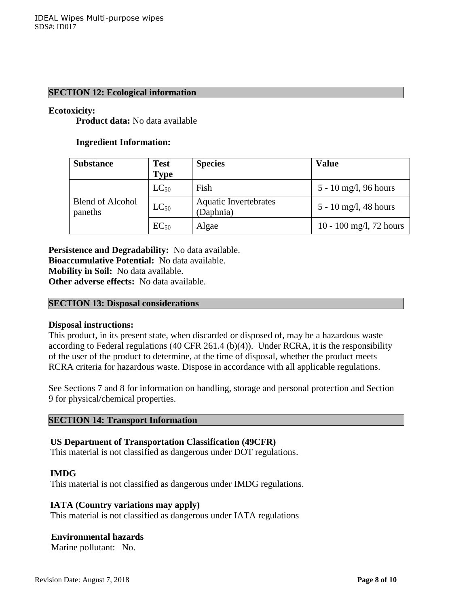### **SECTION 12: Ecological information**

#### **Ecotoxicity:**

**Product data:** No data available

#### **Ingredient Information:**

| <b>Substance</b>                   | <b>Test</b><br><b>Type</b> | <b>Species</b>                            | <b>Value</b>            |
|------------------------------------|----------------------------|-------------------------------------------|-------------------------|
| <b>Blend of Alcohol</b><br>paneths | $LC_{50}$                  | Fish                                      | 5 - 10 mg/l, 96 hours   |
|                                    | $LC_{50}$                  | <b>Aquatic Invertebrates</b><br>(Daphnia) | 5 - 10 mg/l, 48 hours   |
|                                    | $EC_{50}$                  | Algae                                     | 10 - 100 mg/l, 72 hours |

**Persistence and Degradability:** No data available. **Bioaccumulative Potential:** No data available. **Mobility in Soil:** No data available. **Other adverse effects:** No data available.

#### **SECTION 13: Disposal considerations**

#### **Disposal instructions:**

This product, in its present state, when discarded or disposed of, may be a hazardous waste according to Federal regulations  $(40 \text{ CFR } 261.4 \text{ (b)}(4))$ . Under RCRA, it is the responsibility of the user of the product to determine, at the time of disposal, whether the product meets RCRA criteria for hazardous waste. Dispose in accordance with all applicable regulations.

See Sections 7 and 8 for information on handling, storage and personal protection and Section 9 for physical/chemical properties.

#### **SECTION 14: Transport Information**

#### **US Department of Transportation Classification (49CFR)**

This material is not classified as dangerous under DOT regulations.

#### **IMDG**

This material is not classified as dangerous under IMDG regulations.

#### **IATA (Country variations may apply)**

This material is not classified as dangerous under IATA regulations

#### **Environmental hazards**

Marine pollutant: No.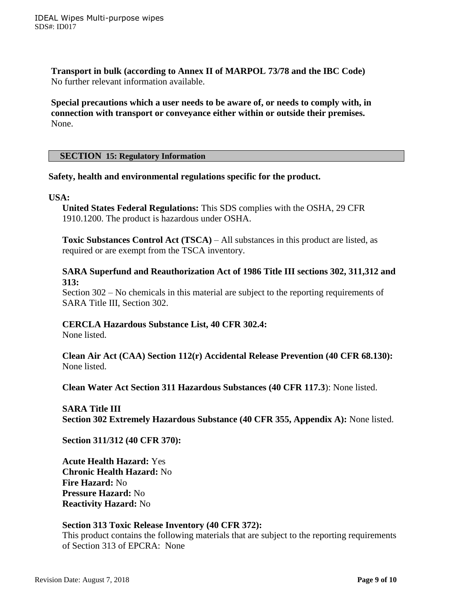**Transport in bulk (according to Annex II of MARPOL 73/78 and the IBC Code)** No further relevant information available.

**Special precautions which a user needs to be aware of, or needs to comply with, in connection with transport or conveyance either within or outside their premises.** None.

#### **SECTION 15: Regulatory Information**

# **Safety, health and environmental regulations specific for the product.**

#### **USA:**

**United States Federal Regulations:** This SDS complies with the OSHA, 29 CFR 1910.1200. The product is hazardous under OSHA.

**Toxic Substances Control Act (TSCA)** – All substances in this product are listed, as required or are exempt from the TSCA inventory.

### **SARA Superfund and Reauthorization Act of 1986 Title III sections 302, 311,312 and 313:**

Section 302 – No chemicals in this material are subject to the reporting requirements of SARA Title III, Section 302.

# **CERCLA Hazardous Substance List, 40 CFR 302.4:**

None listed.

**Clean Air Act (CAA) Section 112(r) Accidental Release Prevention (40 CFR 68.130):** None listed.

**Clean Water Act Section 311 Hazardous Substances (40 CFR 117.3**): None listed.

**SARA Title III Section 302 Extremely Hazardous Substance (40 CFR 355, Appendix A):** None listed.

**Section 311/312 (40 CFR 370):**

**Acute Health Hazard:** Yes **Chronic Health Hazard:** No **Fire Hazard:** No **Pressure Hazard:** No **Reactivity Hazard:** No

#### **Section 313 Toxic Release Inventory (40 CFR 372):**

This product contains the following materials that are subject to the reporting requirements of Section 313 of EPCRA: None